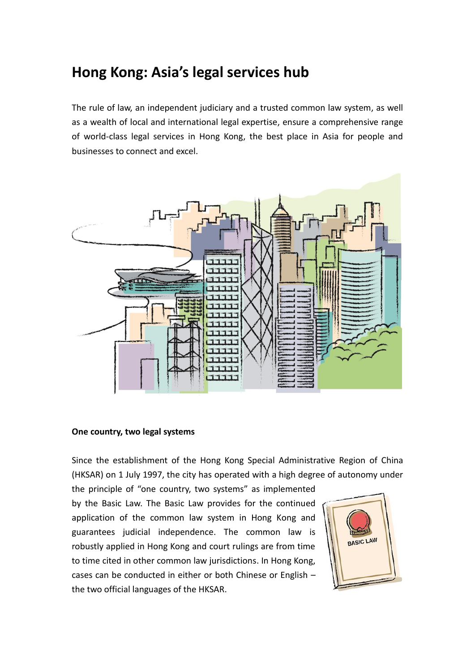# **Hong Kong: Asia's legal services hub**

The rule of law, an independent judiciary and a trusted common law system, as well as a wealth of local and international legal expertise, ensure a comprehensive range of world-class legal services in Hong Kong, the best place in Asia for people and businesses to connect and excel.



#### **One country, two legal systems**

Since the establishment of the Hong Kong Special Administrative Region of China (HKSAR) on 1 July 1997, the city has operated with a high degree of autonomy under

the principle of "one country, two systems" as implemented by the Basic Law. The Basic Law provides for the continued application of the common law system in Hong Kong and guarantees judicial independence. The common law is robustly applied in Hong Kong and court rulings are from time to time cited in other common law jurisdictions. In Hong Kong, cases can be conducted in either or both Chinese or English – the two official languages of the HKSAR.

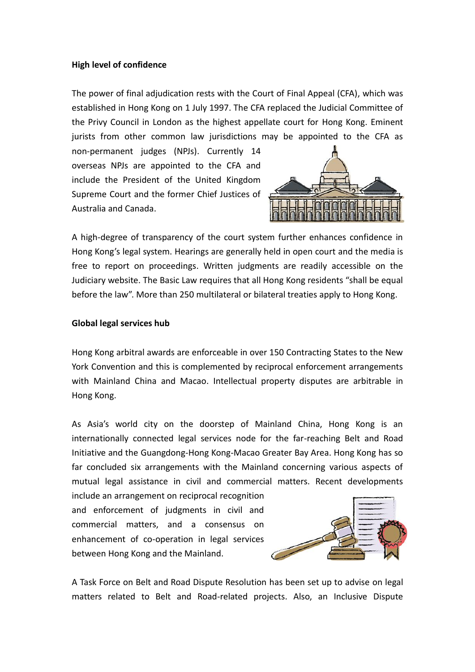#### **High level of confidence**

The power of final adjudication rests with the Court of Final Appeal (CFA), which was established in Hong Kong on 1 July 1997. The CFA replaced the Judicial Committee of the Privy Council in London as the highest appellate court for Hong Kong. Eminent jurists from other common law jurisdictions may be appointed to the CFA as

non-permanent judges (NPJs). Currently 14 overseas NPJs are appointed to the CFA and include the President of the United Kingdom Supreme Court and the former Chief Justices of Australia and Canada.



A high-degree of transparency of the court system further enhances confidence in Hong Kong's legal system. Hearings are generally held in open court and the media is free to report on proceedings. Written judgments are readily accessible on the Judiciary website. The Basic Law requires that all Hong Kong residents "shall be equal before the law". More than 250 multilateral or bilateral treaties apply to Hong Kong.

#### **Global legal services hub**

Hong Kong arbitral awards are enforceable in over 150 Contracting States to the New York Convention and this is complemented by reciprocal enforcement arrangements with Mainland China and Macao. Intellectual property disputes are arbitrable in Hong Kong.

As Asia's world city on the doorstep of Mainland China, Hong Kong is an internationally connected legal services node for the far-reaching Belt and Road Initiative and the Guangdong-Hong Kong-Macao Greater Bay Area. Hong Kong has so far concluded six arrangements with the Mainland concerning various aspects of mutual legal assistance in civil and commercial matters. Recent developments

include an arrangement on reciprocal recognition and enforcement of judgments in civil and commercial matters, and a consensus on enhancement of co-operation in legal services between Hong Kong and the Mainland.



A Task Force on Belt and Road Dispute Resolution has been set up to advise on legal matters related to Belt and Road-related projects. Also, an Inclusive Dispute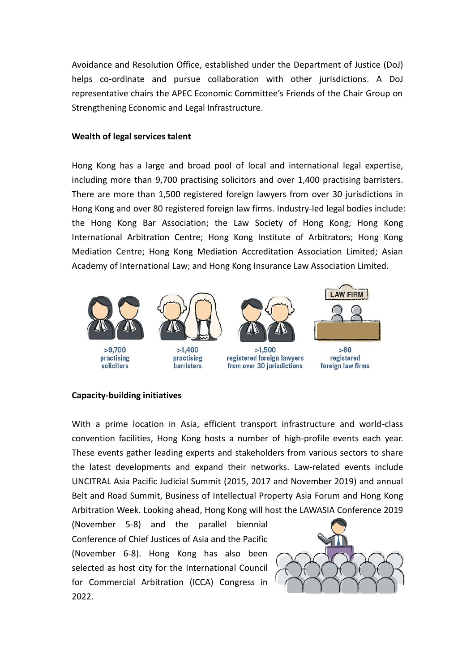Avoidance and Resolution Office, established under the Department of Justice (DoJ) helps co-ordinate and pursue collaboration with other jurisdictions. A DoJ representative chairs the APEC Economic Committee's Friends of the Chair Group on Strengthening Economic and Legal Infrastructure.

### **Wealth of legal services talent**

Hong Kong has a large and broad pool of local and international legal expertise, including more than 9,700 practising solicitors and over 1,400 practising barristers. There are more than 1,500 registered foreign lawyers from over 30 jurisdictions in Hong Kong and over 80 registered foreign law firms. Industry-led legal bodies include: the Hong Kong Bar Association; the Law Society of Hong Kong; Hong Kong International Arbitration Centre; Hong Kong Institute of Arbitrators; Hong Kong Mediation Centre; Hong Kong Mediation Accreditation Association Limited; Asian Academy of International Law; and Hong Kong Insurance Law Association Limited.



## **Capacity-building initiatives**

With a prime location in Asia, efficient transport infrastructure and world-class convention facilities, Hong Kong hosts a number of high-profile events each year. These events gather leading experts and stakeholders from various sectors to share the latest developments and expand their networks. Law-related events include UNCITRAL Asia Pacific Judicial Summit (2015, 2017 and November 2019) and annual Belt and Road Summit, Business of Intellectual Property Asia Forum and Hong Kong Arbitration Week. Looking ahead, Hong Kong will host the LAWASIA Conference 2019

(November 5-8) and the parallel biennial Conference of Chief Justices of Asia and the Pacific (November 6-8). Hong Kong has also been selected as host city for the International Council for Commercial Arbitration (ICCA) Congress in 2022.